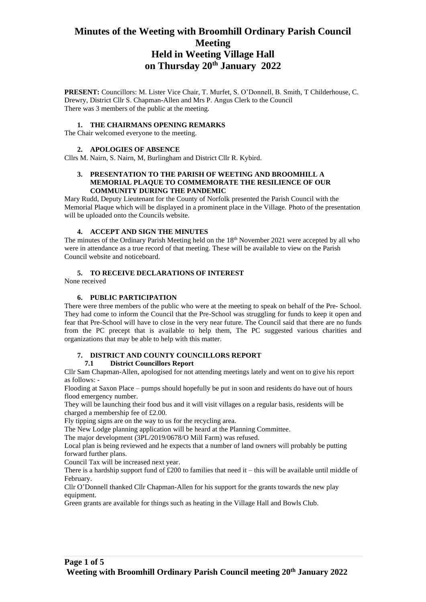# **Minutes of the Weeting with Broomhill Ordinary Parish Council Meeting Held in Weeting Village Hall on Thursday 20th January 2022**

**PRESENT:** Councillors: M. Lister Vice Chair, T. Murfet, S. O'Donnell, B. Smith, T Childerhouse, C. Drewry, District Cllr S. Chapman-Allen and Mrs P. Angus Clerk to the Council There was 3 members of the public at the meeting.

#### **1. THE CHAIRMANS OPENING REMARKS**

The Chair welcomed everyone to the meeting.

#### **2. APOLOGIES OF ABSENCE**

Cllrs M. Nairn, S. Nairn, M, Burlingham and District Cllr R. Kybird.

#### **3. PRESENTATION TO THE PARISH OF WEETING AND BROOMHILL A MEMORIAL PLAQUE TO COMMEMORATE THE RESILIENCE OF OUR COMMUNITY DURING THE PANDEMIC**

Mary Rudd, Deputy Lieutenant for the County of Norfolk presented the Parish Council with the Memorial Plaque which will be displayed in a prominent place in the Village. Photo of the presentation will be uploaded onto the Councils website.

#### **4. ACCEPT AND SIGN THE MINUTES**

The minutes of the Ordinary Parish Meeting held on the 18<sup>th</sup> November 2021 were accepted by all who were in attendance as a true record of that meeting. These will be available to view on the Parish Council website and noticeboard.

#### **5. TO RECEIVE DECLARATIONS OF INTEREST**

None received

#### **6. PUBLIC PARTICIPATION**

There were three members of the public who were at the meeting to speak on behalf of the Pre- School. They had come to inform the Council that the Pre-School was struggling for funds to keep it open and fear that Pre-School will have to close in the very near future. The Council said that there are no funds from the PC precept that is available to help them, The PC suggested various charities and organizations that may be able to help with this matter.

#### **7. DISTRICT AND COUNTY COUNCILLORS REPORT 7.1 District Councillors Report**

Cllr Sam Chapman-Allen, apologised for not attending meetings lately and went on to give his report as follows: -

Flooding at Saxon Place – pumps should hopefully be put in soon and residents do have out of hours flood emergency number.

They will be launching their food bus and it will visit villages on a regular basis, residents will be charged a membership fee of £2.00.

Fly tipping signs are on the way to us for the recycling area.

The New Lodge planning application will be heard at the Planning Committee.

The major development (3PL/2019/0678/O Mill Farm) was refused.

Local plan is being reviewed and he expects that a number of land owners will probably be putting forward further plans.

Council Tax will be increased next year.

There is a hardship support fund of  $£200$  to families that need it – this will be available until middle of February.

Cllr O'Donnell thanked Cllr Chapman-Allen for his support for the grants towards the new play equipment.

Green grants are available for things such as heating in the Village Hall and Bowls Club.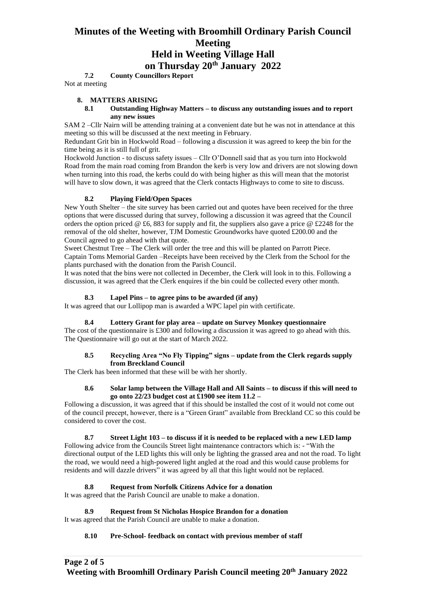# **Minutes of the Weeting with Broomhill Ordinary Parish Council Meeting Held in Weeting Village Hall**

**on Thursday 20th January 2022**

**7.2 County Councillors Report**

Not at meeting

### **8. MATTERS ARISING**

#### **8.1 Outstanding Highway Matters – to discuss any outstanding issues and to report any new issues**

SAM 2 –Cllr Nairn will be attending training at a convenient date but he was not in attendance at this meeting so this will be discussed at the next meeting in February.

Redundant Grit bin in Hockwold Road – following a discussion it was agreed to keep the bin for the time being as it is still full of grit.

Hockwold Junction - to discuss safety issues – Cllr O'Donnell said that as you turn into Hockwold Road from the main road coming from Brandon the kerb is very low and drivers are not slowing down when turning into this road, the kerbs could do with being higher as this will mean that the motorist will have to slow down, it was agreed that the Clerk contacts Highways to come to site to discuss.

#### **8.2 Playing Field/Open Spaces**

New Youth Shelter – the site survey has been carried out and quotes have been received for the three options that were discussed during that survey, following a discussion it was agreed that the Council orders the option priced  $\&$  £6, 883 for supply and fit, the suppliers also gave a price  $\&$  £2248 for the removal of the old shelter, however, TJM Domestic Groundworks have quoted £200.00 and the Council agreed to go ahead with that quote.

Sweet Chestnut Tree – The Clerk will order the tree and this will be planted on Parrott Piece. Captain Toms Memorial Garden –Receipts have been received by the Clerk from the School for the plants purchased with the donation from the Parish Council.

It was noted that the bins were not collected in December, the Clerk will look in to this. Following a discussion, it was agreed that the Clerk enquires if the bin could be collected every other month.

### **8.3 Lapel Pins – to agree pins to be awarded (if any)**

It was agreed that our Lollipop man is awarded a WPC lapel pin with certificate.

#### **8.4 Lottery Grant for play area – update on Survey Monkey questionnaire**

The cost of the questionnaire is £300 and following a discussion it was agreed to go ahead with this. The Questionnaire will go out at the start of March 2022.

#### **8.5 Recycling Area "No Fly Tipping" signs – update from the Clerk regards supply from Breckland Council**

The Clerk has been informed that these will be with her shortly.

#### **8.6 Solar lamp between the Village Hall and All Saints – to discuss if this will need to go onto 22/23 budget cost at £1900 see item 11.2 –**

Following a discussion, it was agreed that if this should be installed the cost of it would not come out of the council precept, however, there is a "Green Grant" available from Breckland CC so this could be considered to cover the cost.

#### **8.7 Street Light 103 – to discuss if it is needed to be replaced with a new LED lamp**

Following advice from the Councils Street light maintenance contractors which is: - "With the directional output of the LED lights this will only be lighting the grassed area and not the road. To light the road, we would need a high-powered light angled at the road and this would cause problems for residents and will dazzle drivers" it was agreed by all that this light would not be replaced.

### **8.8 Request from Norfolk Citizens Advice for a donation**

It was agreed that the Parish Council are unable to make a donation.

#### **8.9 Request from St Nicholas Hospice Brandon for a donation**

It was agreed that the Parish Council are unable to make a donation.

#### **8.10 Pre-School- feedback on contact with previous member of staff**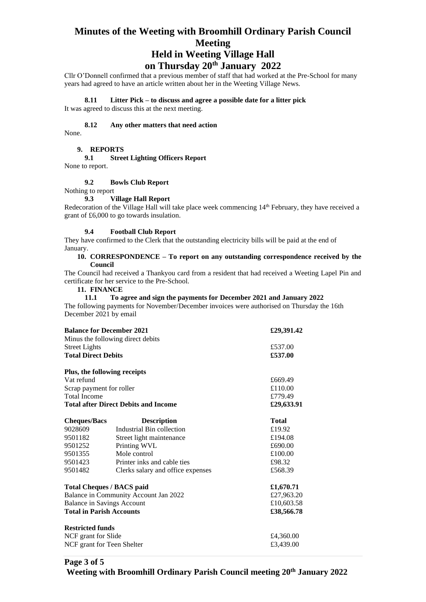# **Minutes of the Weeting with Broomhill Ordinary Parish Council Meeting Held in Weeting Village Hall**

**on Thursday 20th January 2022**

Cllr O'Donnell confirmed that a previous member of staff that had worked at the Pre-School for many years had agreed to have an article written about her in the Weeting Village News.

#### **8.11 Litter Pick – to discuss and agree a possible date for a litter pick**

It was agreed to discuss this at the next meeting.

#### **8.12 Any other matters that need action**

None.

#### **9. REPORTS**

#### **9.1 Street Lighting Officers Report**

None to report.

#### **9.2 Bowls Club Report**

Nothing to report

#### **9.3 Village Hall Report**

Redecoration of the Village Hall will take place week commencing 14<sup>th</sup> February, they have received a grant of £6,000 to go towards insulation.

#### **9.4 Football Club Report**

They have confirmed to the Clerk that the outstanding electricity bills will be paid at the end of January.

#### **10. CORRESPONDENCE – To report on any outstanding correspondence received by the Council**

The Council had received a Thankyou card from a resident that had received a Weeting Lapel Pin and certificate for her service to the Pre-School.

### **11. FINANCE**

#### **11.1 To agree and sign the payments for December 2021 and January 2022**

The following payments for November/December invoices were authorised on Thursday the 16th December 2021 by email

| <b>Balance for December 2021</b>            |                                   | £29,391.42   |
|---------------------------------------------|-----------------------------------|--------------|
|                                             | Minus the following direct debits |              |
| <b>Street Lights</b>                        |                                   | £537.00      |
| <b>Total Direct Debits</b>                  |                                   | £537.00      |
| Plus, the following receipts                |                                   |              |
| Vat refund                                  |                                   | £669.49      |
| Scrap payment for roller                    |                                   | £110.00      |
| <b>Total Income</b>                         |                                   | £779.49      |
| <b>Total after Direct Debits and Income</b> |                                   | £29,633.91   |
| <b>Cheques/Bacs</b>                         | <b>Description</b>                | <b>Total</b> |
| 9028609                                     | Industrial Bin collection         | £19.92       |
| 9501182                                     | Street light maintenance          | £194.08      |
| 9501252                                     | Printing WVL                      | £690.00      |
| 9501355                                     | Mole control                      | £100.00      |
| 9501423                                     | Printer inks and cable ties       | £98.32       |
| 9501482                                     | Clerks salary and office expenses | £568.39      |
| <b>Total Cheques / BACS paid</b>            |                                   | £1,670.71    |
| Balance in Community Account Jan 2022       |                                   | £27,963.20   |
| <b>Balance in Savings Account</b>           |                                   | £10,603.58   |
| <b>Total in Parish Accounts</b>             |                                   | £38,566.78   |
| <b>Restricted funds</b>                     |                                   |              |
| NCF grant for Slide                         |                                   | £4,360.00    |
| NCF grant for Teen Shelter                  |                                   | £3,439.00    |

# **Page 3 of 5**

**Weeting with Broomhill Ordinary Parish Council meeting 20th January 2022**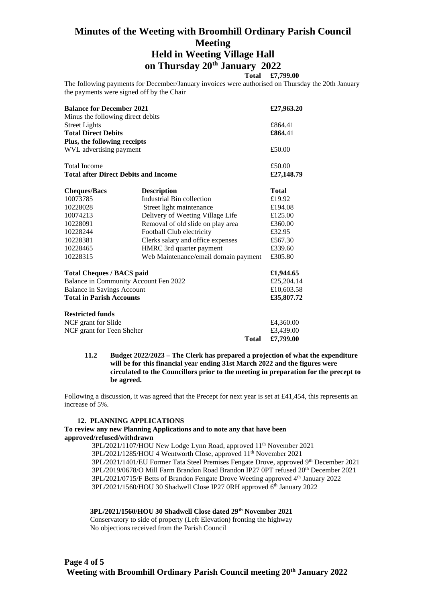# **Minutes of the Weeting with Broomhill Ordinary Parish Council Meeting Held in Weeting Village Hall on Thursday 20th January 2022**

## **Total £7,799.00**

The following payments for December/January invoices were authorised on Thursday the 20th January the payments were signed off by the Chair

| <b>Balance for December 2021</b>            | £27,963.20                           |              |
|---------------------------------------------|--------------------------------------|--------------|
| Minus the following direct debits           |                                      |              |
| <b>Street Lights</b>                        |                                      | £864.41      |
| <b>Total Direct Debits</b>                  | £864.41                              |              |
| Plus, the following receipts                |                                      |              |
| WVL advertising payment                     |                                      | £50.00       |
| <b>Total Income</b>                         |                                      | £50.00       |
| <b>Total after Direct Debits and Income</b> |                                      | £27,148.79   |
| <b>Cheques/Bacs</b>                         | <b>Description</b>                   | <b>Total</b> |
| 10073785                                    | Industrial Bin collection            | £19.92       |
| 10228028                                    | Street light maintenance             | £194.08      |
| 10074213                                    | Delivery of Weeting Village Life     | £125.00      |
| 10228091                                    | Removal of old slide on play area    | £360.00      |
| 10228244                                    | Football Club electricity            | £32.95       |
| 10228381                                    | Clerks salary and office expenses    | £567.30      |
| 10228465                                    | HMRC 3rd quarter payment             | £339.60      |
| 10228315                                    | Web Maintenance/email domain payment | £305.80      |
| <b>Total Cheques / BACS paid</b>            |                                      | £1,944.65    |
| Balance in Community Account Fen 2022       | £25,204.14                           |              |
| <b>Balance in Savings Account</b>           | £10,603.58                           |              |
| <b>Total in Parish Accounts</b>             | £35,807.72                           |              |
| <b>Restricted funds</b>                     |                                      |              |
| NCF grant for Slide                         | £4,360.00                            |              |
| NCF grant for Teen Shelter                  |                                      | £3,439.00    |
|                                             | <b>Total</b>                         | £7,799.00    |

**11.2 Budget 2022/2023 – The Clerk has prepared a projection of what the expenditure will be for this financial year ending 31st March 2022 and the figures were circulated to the Councillors prior to the meeting in preparation for the precept to be agreed.**

Following a discussion, it was agreed that the Precept for next year is set at £41,454, this represents an increase of 5%.

#### **12. PLANNING APPLICATIONS**

#### **To review any new Planning Applications and to note any that have been approved/refused/withdrawn**

3PL/2021/1107/HOU New Lodge Lynn Road, approved 11<sup>th</sup> November 2021 3PL/2021/1285/HOU 4 Wentworth Close, approved 11th November 2021 3PL/2021/1401/EU Former Tata Steel Premises Fengate Drove, approved 9th December 2021 3PL/2019/0678/O Mill Farm Brandon Road Brandon IP27 0PT refused 20th December 2021 3PL/2021/0715/F Betts of Brandon Fengate Drove Weeting approved 4<sup>th</sup> January 2022 3PL/2021/1560/HOU 30 Shadwell Close IP27 0RH approved 6<sup>th</sup> January 2022

#### **3PL/2021/1560/HOU 30 Shadwell Close dated 29th November 2021**

Conservatory to side of property (Left Elevation) fronting the highway No objections received from the Parish Council